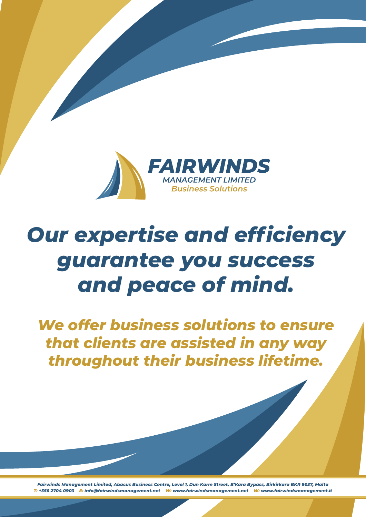

## *Our expertise and efficiency guarantee you success and peace of mind.*

*We offer business solutions to ensure that clients are assisted in any way throughout their business lifetime.*

*Fairwinds Management Limited, Abacus Business Centre, Level 1, Dun Karm Street, B'Kara Bypass, Birkirkara BKR 9037, Malta T: +356 2704 0903 E: info@fairwindsmanagement.net W: www.fairwindsmanagement.net W: www.fairwindsmanagement.it*